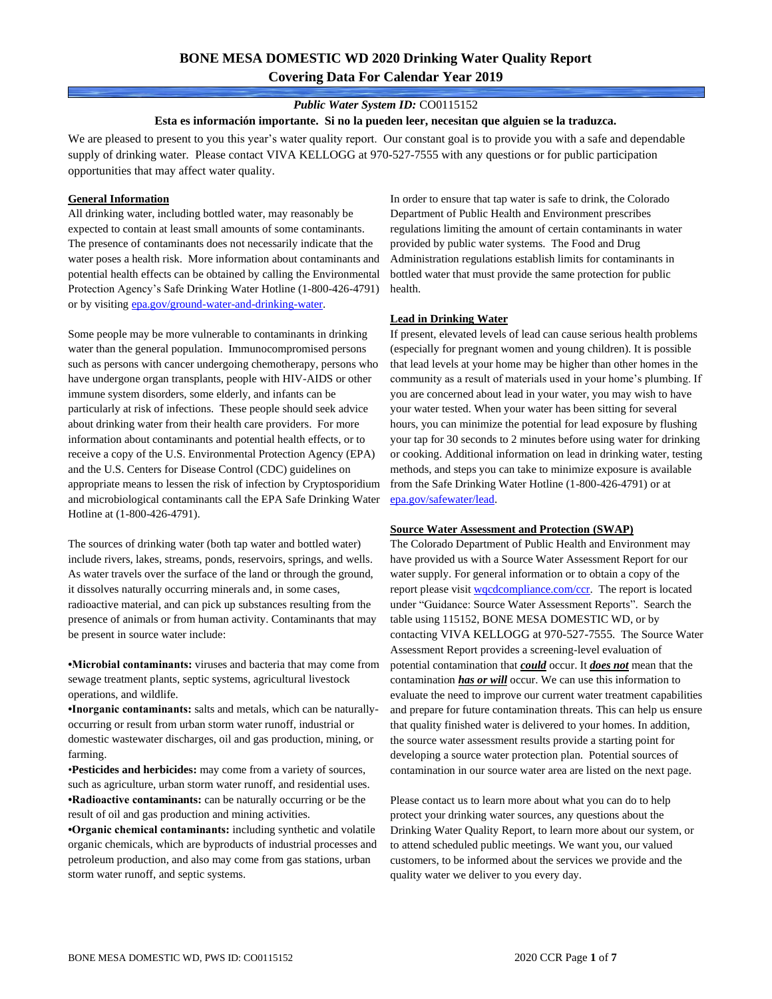# **BONE MESA DOMESTIC WD 2020 Drinking Water Quality Report Covering Data For Calendar Year 2019**

#### *Public Water System ID:* CO0115152

#### **Esta es información importante. Si no la pueden leer, necesitan que alguien se la traduzca.**

We are pleased to present to you this year's water quality report. Our constant goal is to provide you with a safe and dependable supply of drinking water. Please contact VIVA KELLOGG at 970-527-7555 with any questions or for public participation opportunities that may affect water quality.

#### **General Information**

All drinking water, including bottled water, may reasonably be expected to contain at least small amounts of some contaminants. The presence of contaminants does not necessarily indicate that the water poses a health risk. More information about contaminants and potential health effects can be obtained by calling the Environmental Protection Agency's Safe Drinking Water Hotline (1-800-426-4791) or by visiting [epa.gov/ground-water-and-drinking-water.](https://www.epa.gov/ground-water-and-drinking-water)

Some people may be more vulnerable to contaminants in drinking water than the general population. Immunocompromised persons such as persons with cancer undergoing chemotherapy, persons who have undergone organ transplants, people with HIV-AIDS or other immune system disorders, some elderly, and infants can be particularly at risk of infections. These people should seek advice about drinking water from their health care providers. For more information about contaminants and potential health effects, or to receive a copy of the U.S. Environmental Protection Agency (EPA) and the U.S. Centers for Disease Control (CDC) guidelines on appropriate means to lessen the risk of infection by Cryptosporidium and microbiological contaminants call the EPA Safe Drinking Water Hotline at (1-800-426-4791).

The sources of drinking water (both tap water and bottled water) include rivers, lakes, streams, ponds, reservoirs, springs, and wells. As water travels over the surface of the land or through the ground, it dissolves naturally occurring minerals and, in some cases, radioactive material, and can pick up substances resulting from the presence of animals or from human activity. Contaminants that may be present in source water include:

**•Microbial contaminants:** viruses and bacteria that may come from sewage treatment plants, septic systems, agricultural livestock operations, and wildlife.

**•Inorganic contaminants:** salts and metals, which can be naturallyoccurring or result from urban storm water runoff, industrial or domestic wastewater discharges, oil and gas production, mining, or farming.

•**Pesticides and herbicides:** may come from a variety of sources, such as agriculture, urban storm water runoff, and residential uses. **•Radioactive contaminants:** can be naturally occurring or be the result of oil and gas production and mining activities.

**•Organic chemical contaminants:** including synthetic and volatile organic chemicals, which are byproducts of industrial processes and petroleum production, and also may come from gas stations, urban storm water runoff, and septic systems.

In order to ensure that tap water is safe to drink, the Colorado Department of Public Health and Environment prescribes regulations limiting the amount of certain contaminants in water provided by public water systems. The Food and Drug Administration regulations establish limits for contaminants in bottled water that must provide the same protection for public health.

#### **Lead in Drinking Water**

If present, elevated levels of lead can cause serious health problems (especially for pregnant women and young children). It is possible that lead levels at your home may be higher than other homes in the community as a result of materials used in your home's plumbing. If you are concerned about lead in your water, you may wish to have your water tested. When your water has been sitting for several hours, you can minimize the potential for lead exposure by flushing your tap for 30 seconds to 2 minutes before using water for drinking or cooking. Additional information on lead in drinking water, testing methods, and steps you can take to minimize exposure is available from the Safe Drinking Water Hotline (1-800-426-4791) or at [epa.gov/safewater/lead.](http://www.epa.gov/safewater/lead) 

#### **Source Water Assessment and Protection (SWAP)**

The Colorado Department of Public Health and Environment may have provided us with a Source Water Assessment Report for our water supply. For general information or to obtain a copy of the report please visit [wqcdcompliance.com/ccr.](https://wqcdcompliance.com/ccr) The report is located under "Guidance: Source Water Assessment Reports". Search the table using 115152, BONE MESA DOMESTIC WD, or by contacting VIVA KELLOGG at 970-527-7555. The Source Water Assessment Report provides a screening-level evaluation of potential contamination that *could* occur. It *does not* mean that the contamination *has or will* occur. We can use this information to evaluate the need to improve our current water treatment capabilities and prepare for future contamination threats. This can help us ensure that quality finished water is delivered to your homes. In addition, the source water assessment results provide a starting point for developing a source water protection plan. Potential sources of contamination in our source water area are listed on the next page.

Please contact us to learn more about what you can do to help protect your drinking water sources, any questions about the Drinking Water Quality Report, to learn more about our system, or to attend scheduled public meetings. We want you, our valued customers, to be informed about the services we provide and the quality water we deliver to you every day.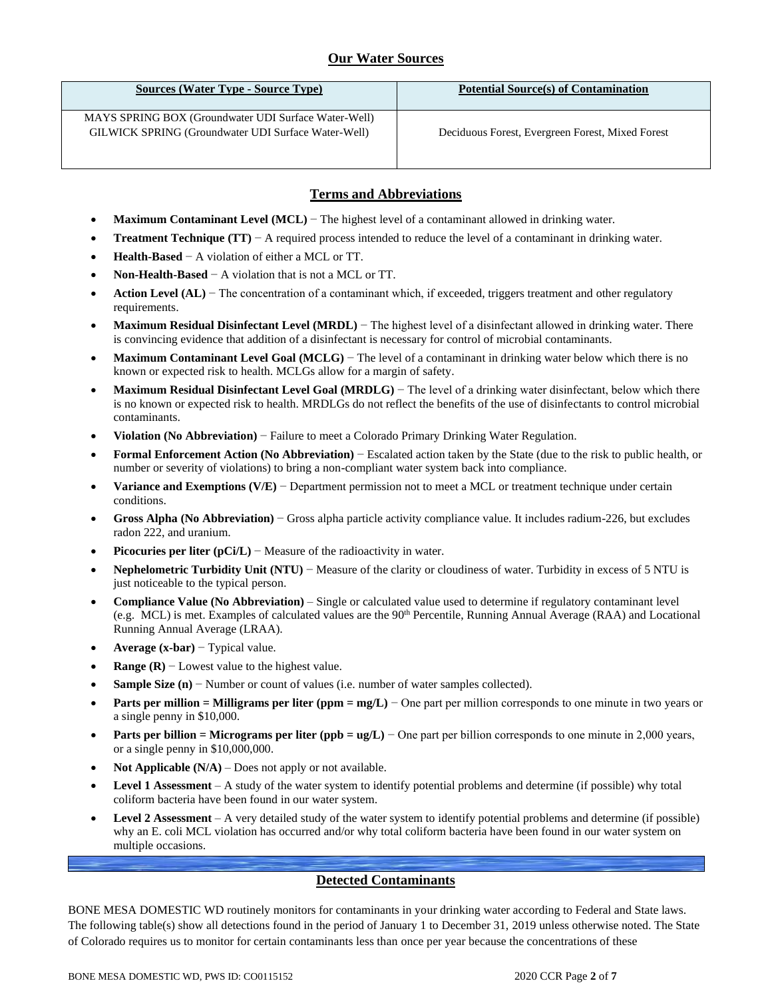## **Our Water Sources**

| Sources (Water Type - Source Type)                   | <b>Potential Source(s) of Contamination</b>      |
|------------------------------------------------------|--------------------------------------------------|
| MAYS SPRING BOX (Groundwater UDI Surface Water-Well) |                                                  |
| GILWICK SPRING (Groundwater UDI Surface Water-Well)  | Deciduous Forest, Evergreen Forest, Mixed Forest |

## **Terms and Abbreviations**

- **Maximum Contaminant Level (MCL)** − The highest level of a contaminant allowed in drinking water.
- **Treatment Technique (TT)**  $A$  required process intended to reduce the level of a contaminant in drinking water.
- **Health-Based** − A violation of either a MCL or TT.
- **Non-Health-Based** − A violation that is not a MCL or TT.
- **Action Level (AL)** − The concentration of a contaminant which, if exceeded, triggers treatment and other regulatory requirements.
- **Maximum Residual Disinfectant Level (MRDL)** − The highest level of a disinfectant allowed in drinking water. There is convincing evidence that addition of a disinfectant is necessary for control of microbial contaminants.
- **Maximum Contaminant Level Goal (MCLG)** − The level of a contaminant in drinking water below which there is no known or expected risk to health. MCLGs allow for a margin of safety.
- **Maximum Residual Disinfectant Level Goal (MRDLG)** − The level of a drinking water disinfectant, below which there is no known or expected risk to health. MRDLGs do not reflect the benefits of the use of disinfectants to control microbial contaminants.
- **Violation (No Abbreviation)** − Failure to meet a Colorado Primary Drinking Water Regulation.
- **Formal Enforcement Action (No Abbreviation)** − Escalated action taken by the State (due to the risk to public health, or number or severity of violations) to bring a non-compliant water system back into compliance.
- **Variance and Exemptions (V/E)** − Department permission not to meet a MCL or treatment technique under certain conditions.
- **Gross Alpha (No Abbreviation)** − Gross alpha particle activity compliance value. It includes radium-226, but excludes radon 222, and uranium.
- **Picocuries per liter (pCi/L)** − Measure of the radioactivity in water.
- **Nephelometric Turbidity Unit (NTU)** − Measure of the clarity or cloudiness of water. Turbidity in excess of 5 NTU is just noticeable to the typical person.
- **Compliance Value (No Abbreviation)** Single or calculated value used to determine if regulatory contaminant level (e.g. MCL) is met. Examples of calculated values are the 90<sup>th</sup> Percentile, Running Annual Average (RAA) and Locational Running Annual Average (LRAA).
- **Average (x-bar)** − Typical value.
- **Range (R)**  $-$  Lowest value to the highest value.
- **Sample Size (n)** − Number or count of values (i.e. number of water samples collected).
- **Parts per million = Milligrams per liter (ppm = mg/L)** − One part per million corresponds to one minute in two years or a single penny in \$10,000.
- **Parts per billion = Micrograms per liter (ppb = ug/L)** − One part per billion corresponds to one minute in 2,000 years, or a single penny in \$10,000,000.
- **Not Applicable**  $(N/A)$  Does not apply or not available.
- **Level 1 Assessment** A study of the water system to identify potential problems and determine (if possible) why total coliform bacteria have been found in our water system.
- **Level 2 Assessment** A very detailed study of the water system to identify potential problems and determine (if possible) why an E. coli MCL violation has occurred and/or why total coliform bacteria have been found in our water system on multiple occasions.

### **Detected Contaminants**

BONE MESA DOMESTIC WD routinely monitors for contaminants in your drinking water according to Federal and State laws. The following table(s) show all detections found in the period of January 1 to December 31, 2019 unless otherwise noted. The State of Colorado requires us to monitor for certain contaminants less than once per year because the concentrations of these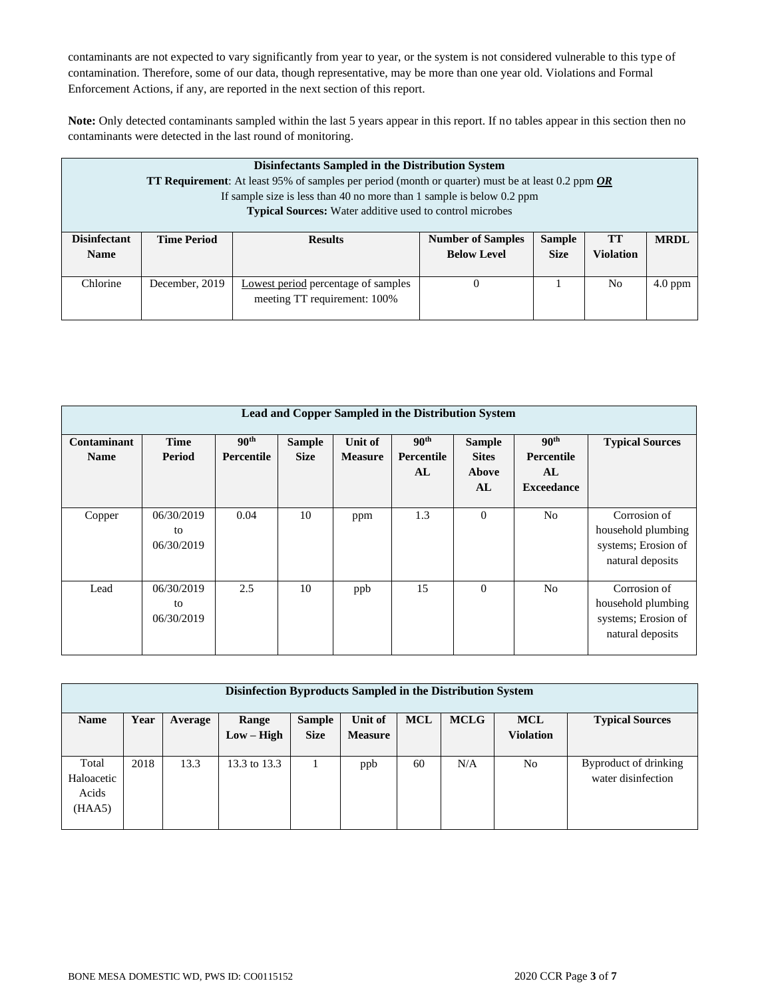contaminants are not expected to vary significantly from year to year, or the system is not considered vulnerable to this type of contamination. Therefore, some of our data, though representative, may be more than one year old. Violations and Formal Enforcement Actions, if any, are reported in the next section of this report.

**Note:** Only detected contaminants sampled within the last 5 years appear in this report. If no tables appear in this section then no contaminants were detected in the last round of monitoring.

| Disinfectants Sampled in the Distribution System<br><b>TT Requirement:</b> At least 95% of samples per period (month or quarter) must be at least 0.2 ppm $OR$<br>If sample size is less than 40 no more than 1 sample is below $0.2$ ppm<br><b>Typical Sources:</b> Water additive used to control microbes |                    |                                                                     |                                                |                              |                        |             |  |
|--------------------------------------------------------------------------------------------------------------------------------------------------------------------------------------------------------------------------------------------------------------------------------------------------------------|--------------------|---------------------------------------------------------------------|------------------------------------------------|------------------------------|------------------------|-------------|--|
| <b>Disinfectant</b><br><b>Name</b>                                                                                                                                                                                                                                                                           | <b>Time Period</b> | <b>Results</b>                                                      | <b>Number of Samples</b><br><b>Below Level</b> | <b>Sample</b><br><b>Size</b> | TТ<br><b>Violation</b> | <b>MRDL</b> |  |
| Chlorine                                                                                                                                                                                                                                                                                                     | December, 2019     | Lowest period percentage of samples<br>meeting TT requirement: 100% |                                                |                              | No.                    | $4.0$ ppm   |  |

| Lead and Copper Sampled in the Distribution System |                                |                                |                              |                           |                                      |                                              |                                                           |                                                                               |  |
|----------------------------------------------------|--------------------------------|--------------------------------|------------------------------|---------------------------|--------------------------------------|----------------------------------------------|-----------------------------------------------------------|-------------------------------------------------------------------------------|--|
| Contaminant<br><b>Name</b>                         | <b>Time</b><br>Period          | 90 <sup>th</sup><br>Percentile | <b>Sample</b><br><b>Size</b> | Unit of<br><b>Measure</b> | 90 <sup>th</sup><br>Percentile<br>AL | <b>Sample</b><br><b>Sites</b><br>Above<br>AL | 90 <sup>th</sup><br>Percentile<br>AL<br><b>Exceedance</b> | <b>Typical Sources</b>                                                        |  |
| Copper                                             | 06/30/2019<br>to<br>06/30/2019 | 0.04                           | 10                           | ppm                       | 1.3                                  | $\mathbf{0}$                                 | N <sub>o</sub>                                            | Corrosion of<br>household plumbing<br>systems; Erosion of<br>natural deposits |  |
| Lead                                               | 06/30/2019<br>to<br>06/30/2019 | 2.5                            | 10                           | ppb                       | 15                                   | $\mathbf{0}$                                 | N <sub>0</sub>                                            | Corrosion of<br>household plumbing<br>systems; Erosion of<br>natural deposits |  |

| Disinfection Byproducts Sampled in the Distribution System |      |         |              |               |                |            |             |                  |                        |
|------------------------------------------------------------|------|---------|--------------|---------------|----------------|------------|-------------|------------------|------------------------|
| <b>Name</b>                                                | Year | Average | Range        | <b>Sample</b> | Unit of        | <b>MCL</b> | <b>MCLG</b> | <b>MCL</b>       | <b>Typical Sources</b> |
|                                                            |      |         | $Low - High$ | <b>Size</b>   | <b>Measure</b> |            |             | <b>Violation</b> |                        |
|                                                            |      |         |              |               |                |            |             |                  |                        |
| Total                                                      | 2018 | 13.3    | 13.3 to 13.3 |               | ppb            | 60         | N/A         | No               | Byproduct of drinking  |
| Haloacetic                                                 |      |         |              |               |                |            |             |                  | water disinfection     |
| Acids                                                      |      |         |              |               |                |            |             |                  |                        |
| (HAA5)                                                     |      |         |              |               |                |            |             |                  |                        |
|                                                            |      |         |              |               |                |            |             |                  |                        |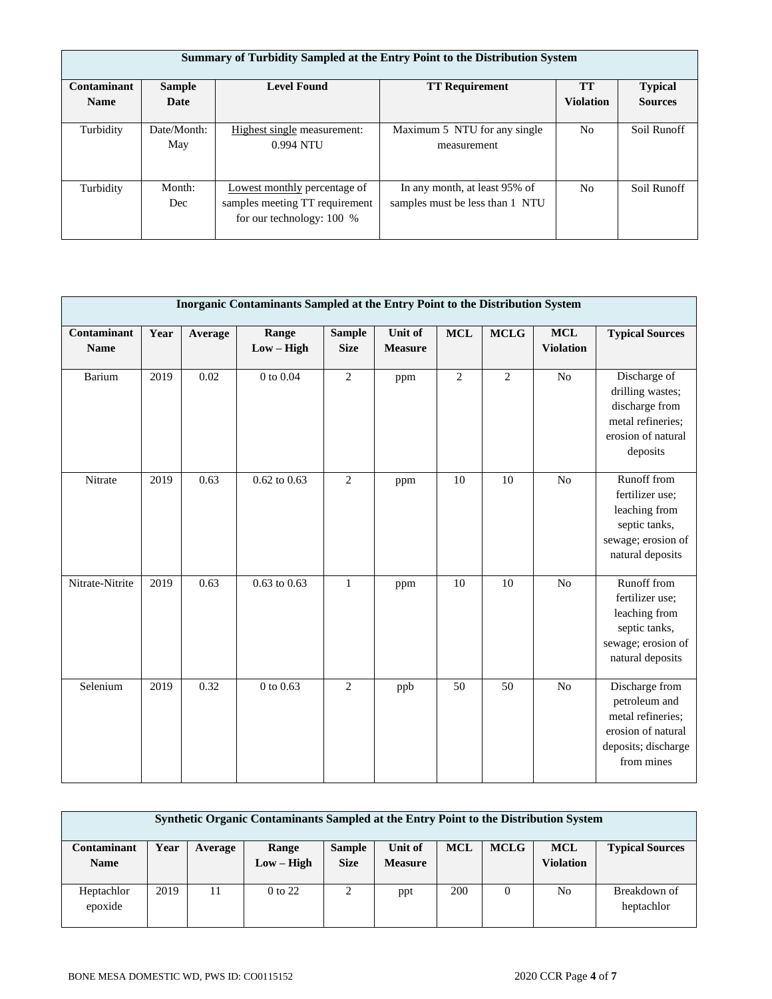| Summary of Turbidity Sampled at the Entry Point to the Distribution System |                    |                                                                                               |                                                                  |                  |                |  |  |  |  |
|----------------------------------------------------------------------------|--------------------|-----------------------------------------------------------------------------------------------|------------------------------------------------------------------|------------------|----------------|--|--|--|--|
| Contaminant                                                                | <b>Sample</b>      | <b>Level Found</b>                                                                            | <b>TT Requirement</b>                                            | <b>TT</b>        | <b>Typical</b> |  |  |  |  |
| <b>Name</b>                                                                | Date               |                                                                                               |                                                                  | <b>Violation</b> | <b>Sources</b> |  |  |  |  |
| Turbidity                                                                  | Date/Month:<br>May | Highest single measurement:<br>0.994 NTU                                                      | Maximum 5 NTU for any single<br>measurement                      | N <sub>o</sub>   | Soil Runoff    |  |  |  |  |
| Turbidity                                                                  | Month:<br>Dec      | Lowest monthly percentage of<br>samples meeting TT requirement<br>for our technology: $100\%$ | In any month, at least 95% of<br>samples must be less than 1 NTU | N <sub>o</sub>   | Soil Runoff    |  |  |  |  |

| Inorganic Contaminants Sampled at the Entry Point to the Distribution System |      |         |                       |                              |                           |                |             |                                |                                                                                                                 |
|------------------------------------------------------------------------------|------|---------|-----------------------|------------------------------|---------------------------|----------------|-------------|--------------------------------|-----------------------------------------------------------------------------------------------------------------|
| Contaminant<br><b>Name</b>                                                   | Year | Average | Range<br>$Low - High$ | <b>Sample</b><br><b>Size</b> | Unit of<br><b>Measure</b> | $\bf MCL$      | <b>MCLG</b> | <b>MCL</b><br><b>Violation</b> | <b>Typical Sources</b>                                                                                          |
| Barium                                                                       | 2019 | 0.02    | 0 to 0.04             | $\overline{2}$               | ppm                       | $\overline{2}$ | 2           | N <sub>o</sub>                 | Discharge of<br>drilling wastes;<br>discharge from<br>metal refineries;<br>erosion of natural<br>deposits       |
| Nitrate                                                                      | 2019 | 0.63    | $0.62$ to $0.63$      | $\overline{c}$               | ppm                       | 10             | 10          | N <sub>o</sub>                 | Runoff from<br>fertilizer use;<br>leaching from<br>septic tanks,<br>sewage; erosion of<br>natural deposits      |
| Nitrate-Nitrite                                                              | 2019 | 0.63    | $0.63$ to $0.63$      | $\mathbf{1}$                 | ppm                       | 10             | 10          | N <sub>o</sub>                 | Runoff from<br>fertilizer use;<br>leaching from<br>septic tanks,<br>sewage; erosion of<br>natural deposits      |
| Selenium                                                                     | 2019 | 0.32    | 0 to 0.63             | $\overline{2}$               | ppb                       | 50             | 50          | N <sub>o</sub>                 | Discharge from<br>petroleum and<br>metal refineries;<br>erosion of natural<br>deposits; discharge<br>from mines |

| Synthetic Organic Contaminants Sampled at the Entry Point to the Distribution System |      |         |                       |                              |                           |            |             |                                |                            |
|--------------------------------------------------------------------------------------|------|---------|-----------------------|------------------------------|---------------------------|------------|-------------|--------------------------------|----------------------------|
| Contaminant<br><b>Name</b>                                                           | Year | Average | Range<br>$Low - High$ | <b>Sample</b><br><b>Size</b> | Unit of<br><b>Measure</b> | <b>MCL</b> | <b>MCLG</b> | <b>MCL</b><br><b>Violation</b> | <b>Typical Sources</b>     |
| Heptachlor<br>epoxide                                                                | 2019 | 11      | $0$ to 22             | $\gamma$                     | ppt                       | 200        | 0           | No                             | Breakdown of<br>heptachlor |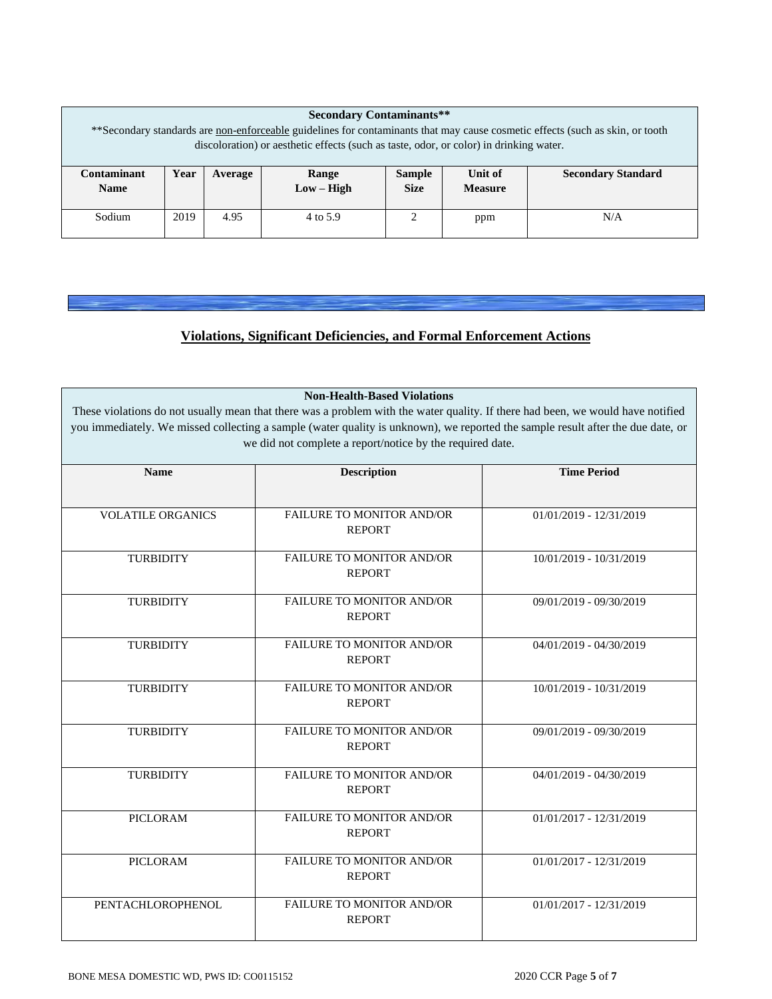| <b>Secondary Contaminants**</b>                                                                                                       |      |         |              |               |                |                           |  |
|---------------------------------------------------------------------------------------------------------------------------------------|------|---------|--------------|---------------|----------------|---------------------------|--|
| ** Secondary standards are <u>non-enforceable</u> guidelines for contaminants that may cause cosmetic effects (such as skin, or tooth |      |         |              |               |                |                           |  |
| discoloration) or aesthetic effects (such as taste, odor, or color) in drinking water.                                                |      |         |              |               |                |                           |  |
|                                                                                                                                       |      |         |              |               |                |                           |  |
| Contaminant                                                                                                                           | Year | Average | Range        | <b>Sample</b> | Unit of        | <b>Secondary Standard</b> |  |
| <b>Name</b>                                                                                                                           |      |         | $Low - High$ | <b>Size</b>   | <b>Measure</b> |                           |  |
|                                                                                                                                       |      |         |              |               |                |                           |  |
| Sodium                                                                                                                                | 2019 | 4.95    | 4 to 5.9     | ◠             | ppm            | N/A                       |  |
|                                                                                                                                       |      |         |              |               |                |                           |  |

# **Violations, Significant Deficiencies, and Formal Enforcement Actions**

**Non-Health-Based Violations**

These violations do not usually mean that there was a problem with the water quality. If there had been, we would have notified you immediately. We missed collecting a sample (water quality is unknown), we reported the sample result after the due date, or we did not complete a report/notice by the required date.

| <b>Name</b>              | <b>Description</b>                                | <b>Time Period</b>        |
|--------------------------|---------------------------------------------------|---------------------------|
| <b>VOLATILE ORGANICS</b> | <b>FAILURE TO MONITOR AND/OR</b><br><b>REPORT</b> | 01/01/2019 - 12/31/2019   |
| <b>TURBIDITY</b>         | <b>FAILURE TO MONITOR AND/OR</b><br><b>REPORT</b> | 10/01/2019 - 10/31/2019   |
| <b>TURBIDITY</b>         | <b>FAILURE TO MONITOR AND/OR</b><br><b>REPORT</b> | 09/01/2019 - 09/30/2019   |
| <b>TURBIDITY</b>         | <b>FAILURE TO MONITOR AND/OR</b><br><b>REPORT</b> | 04/01/2019 - 04/30/2019   |
| <b>TURBIDITY</b>         | <b>FAILURE TO MONITOR AND/OR</b><br><b>REPORT</b> | 10/01/2019 - 10/31/2019   |
| <b>TURBIDITY</b>         | <b>FAILURE TO MONITOR AND/OR</b><br><b>REPORT</b> | 09/01/2019 - 09/30/2019   |
| <b>TURBIDITY</b>         | FAILURE TO MONITOR AND/OR<br><b>REPORT</b>        | 04/01/2019 - 04/30/2019   |
| PICLORAM                 | <b>FAILURE TO MONITOR AND/OR</b><br><b>REPORT</b> | $01/01/2017 - 12/31/2019$ |
| <b>PICLORAM</b>          | <b>FAILURE TO MONITOR AND/OR</b><br><b>REPORT</b> | 01/01/2017 - 12/31/2019   |
| PENTACHLOROPHENOL        | <b>FAILURE TO MONITOR AND/OR</b><br><b>REPORT</b> | $01/01/2017 - 12/31/2019$ |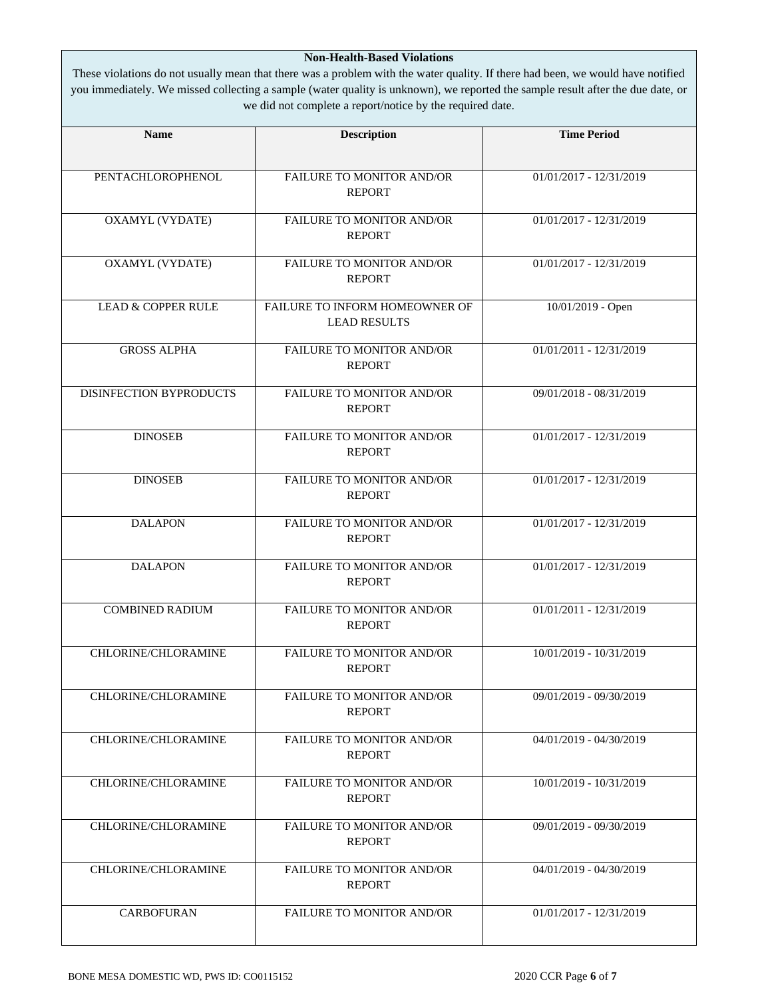### **Non-Health-Based Violations**

These violations do not usually mean that there was a problem with the water quality. If there had been, we would have notified you immediately. We missed collecting a sample (water quality is unknown), we reported the sample result after the due date, or we did not complete a report/notice by the required date.

| <b>Name</b>                   | <b>Description</b>                                    | <b>Time Period</b>        |  |  |
|-------------------------------|-------------------------------------------------------|---------------------------|--|--|
|                               |                                                       |                           |  |  |
| PENTACHLOROPHENOL             | FAILURE TO MONITOR AND/OR<br><b>REPORT</b>            | 01/01/2017 - 12/31/2019   |  |  |
| <b>OXAMYL (VYDATE)</b>        | <b>FAILURE TO MONITOR AND/OR</b><br><b>REPORT</b>     | 01/01/2017 - 12/31/2019   |  |  |
| <b>OXAMYL (VYDATE)</b>        | FAILURE TO MONITOR AND/OR<br><b>REPORT</b>            | $01/01/2017 - 12/31/2019$ |  |  |
| <b>LEAD &amp; COPPER RULE</b> | FAILURE TO INFORM HOMEOWNER OF<br><b>LEAD RESULTS</b> | 10/01/2019 - Open         |  |  |
| <b>GROSS ALPHA</b>            | FAILURE TO MONITOR AND/OR<br><b>REPORT</b>            | 01/01/2011 - 12/31/2019   |  |  |
| DISINFECTION BYPRODUCTS       | FAILURE TO MONITOR AND/OR<br><b>REPORT</b>            | 09/01/2018 - 08/31/2019   |  |  |
| <b>DINOSEB</b>                | FAILURE TO MONITOR AND/OR<br><b>REPORT</b>            | 01/01/2017 - 12/31/2019   |  |  |
| <b>DINOSEB</b>                | FAILURE TO MONITOR AND/OR<br><b>REPORT</b>            | 01/01/2017 - 12/31/2019   |  |  |
| <b>DALAPON</b>                | FAILURE TO MONITOR AND/OR<br><b>REPORT</b>            | 01/01/2017 - 12/31/2019   |  |  |
| <b>DALAPON</b>                | FAILURE TO MONITOR AND/OR<br><b>REPORT</b>            | 01/01/2017 - 12/31/2019   |  |  |
| <b>COMBINED RADIUM</b>        | FAILURE TO MONITOR AND/OR<br><b>REPORT</b>            | 01/01/2011 - 12/31/2019   |  |  |
| CHLORINE/CHLORAMINE           | FAILURE TO MONITOR AND/OR<br><b>REPORT</b>            | 10/01/2019 - 10/31/2019   |  |  |
| <b>CHLORINE/CHLORAMINE</b>    | <b>FAILURE TO MONITOR AND/OR</b><br><b>REPORT</b>     | 09/01/2019 - 09/30/2019   |  |  |
| CHLORINE/CHLORAMINE           | FAILURE TO MONITOR AND/OR<br><b>REPORT</b>            | 04/01/2019 - 04/30/2019   |  |  |
| CHLORINE/CHLORAMINE           | <b>FAILURE TO MONITOR AND/OR</b><br><b>REPORT</b>     | 10/01/2019 - 10/31/2019   |  |  |
| CHLORINE/CHLORAMINE           | <b>FAILURE TO MONITOR AND/OR</b><br><b>REPORT</b>     | 09/01/2019 - 09/30/2019   |  |  |
| CHLORINE/CHLORAMINE           | <b>FAILURE TO MONITOR AND/OR</b><br><b>REPORT</b>     | 04/01/2019 - 04/30/2019   |  |  |
| <b>CARBOFURAN</b>             | <b>FAILURE TO MONITOR AND/OR</b>                      | 01/01/2017 - 12/31/2019   |  |  |